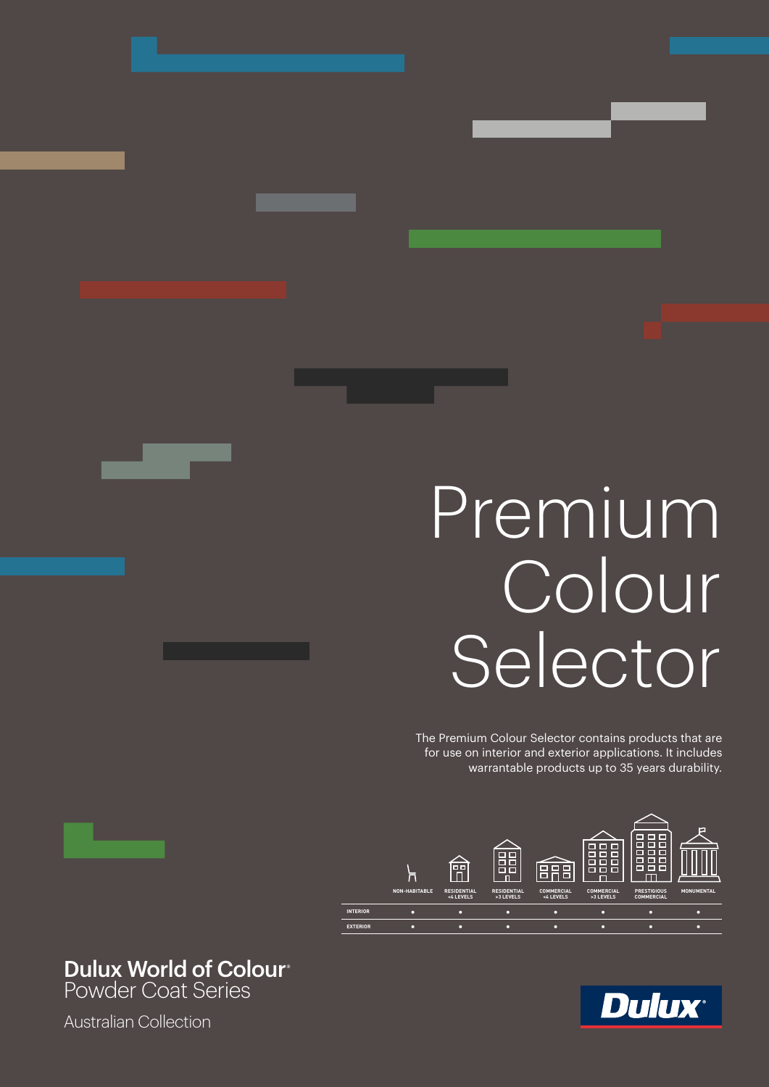# Premium Colour Selector

The Premium Colour Selector contains products that are for use on interior and exterior applications. It includes warrantable products up to 35 years durability.



# Dulux World of Colour**®**

Powder Coat Series

Australian Collection

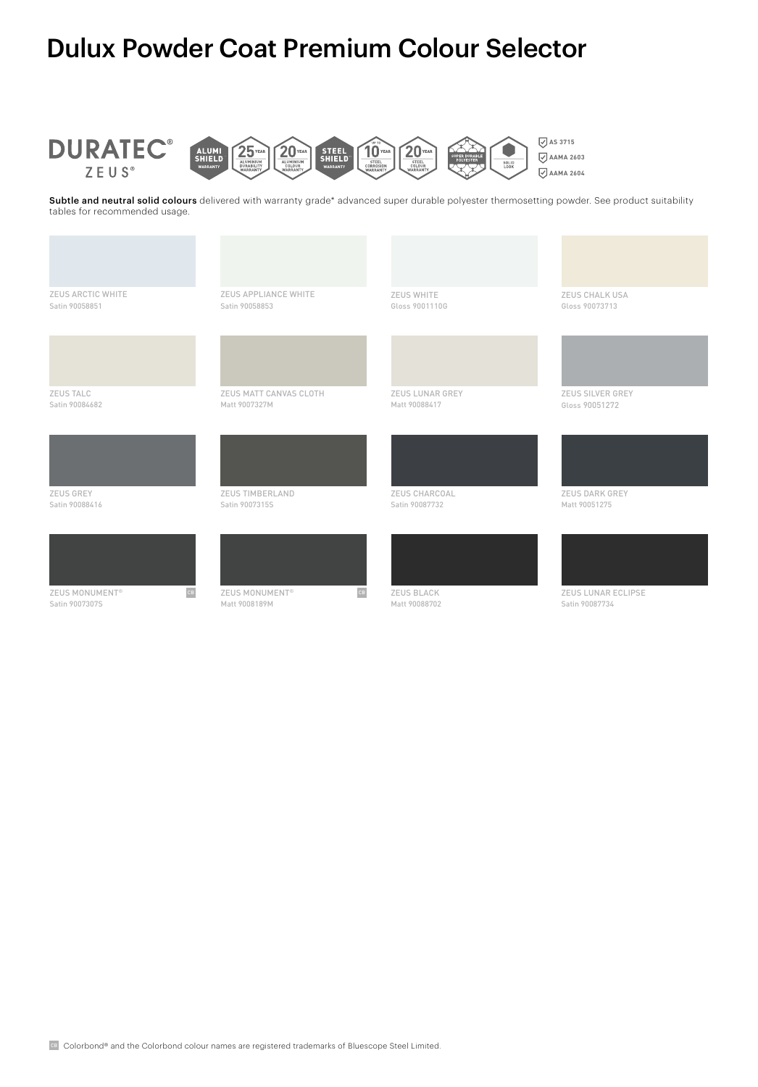# Dulux Powder Coat Premium Colour Selector



Subtle and neutral solid colours delivered with warranty grade\* advanced super durable polyester thermosetting powder. See product suitability tables for recommended usage.

| ZEUS ARCTIC WHITE<br>Satin 90058851 | ZEUS APPLIANCE WHITE<br>Satin 90058853  | ZEUS WHITE<br>Gloss 9001110G            | ZEUS CHALK USA<br>Gloss 90073713          |
|-------------------------------------|-----------------------------------------|-----------------------------------------|-------------------------------------------|
|                                     |                                         |                                         |                                           |
| <b>ZEUS TALC</b><br>Satin 90084682  | ZEUS MATT CANVAS CLOTH<br>Matt 9007327M | <b>ZEUS LUNAR GREY</b><br>Matt 90088417 | <b>ZEUS SILVER GREY</b><br>Gloss 90051272 |
|                                     |                                         |                                         |                                           |
| ZEUS GREY<br>Satin 90088416         | ZEUS TIMBERLAND<br>Satin 9007315S       | ZEUS CHARCOAL<br>Satin 90087732         | <b>ZEUS DARK GREY</b><br>Matt 90051275    |
|                                     |                                         |                                         |                                           |

ZEUS MONUMENT® Satin 9007307S



Matt 9008189M



ZEUS LUNAR ECLIPSE Satin 90087734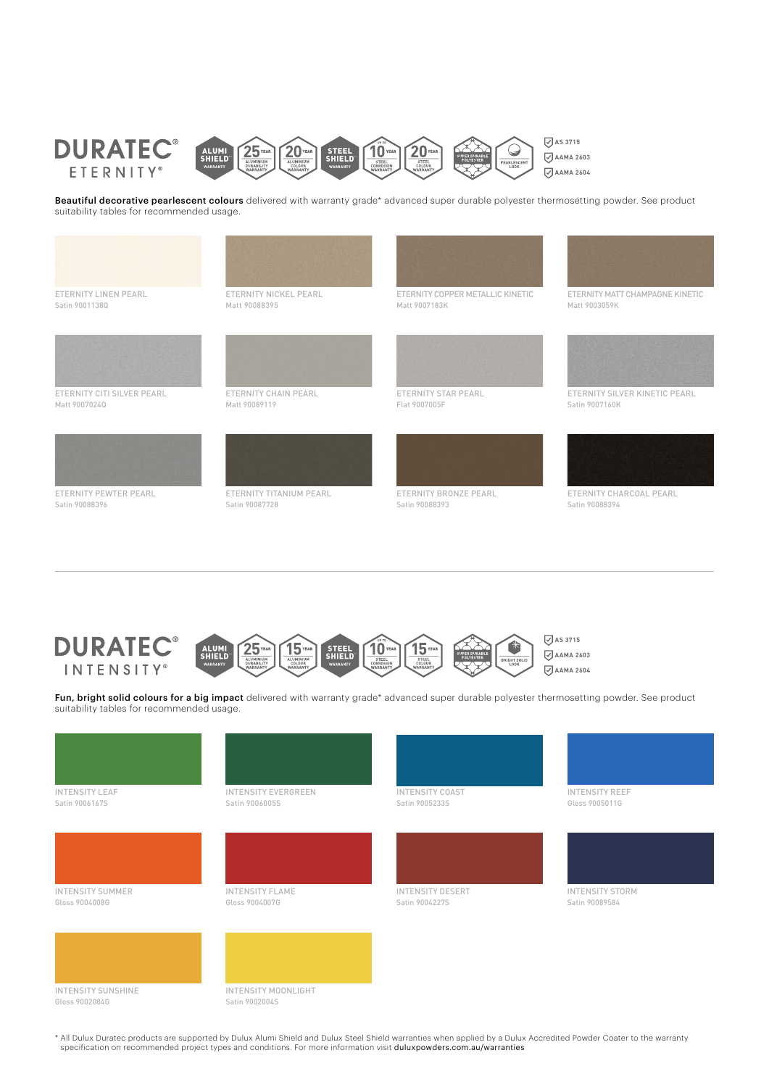

Beautiful decorative pearlescent colours delivered with warranty grade\* advanced super durable polyester thermosetting powder. See product suitability tables for recommended usage.





**AS 3715** 10 STEEL<br>SHIELL **AAMA 2603 AAMA 2604**

Fun, bright solid colours for a big impact delivered with warranty grade\* advanced super durable polyester thermosetting powder. See product suitability tables for recommended usage.



\* All Dulux Duratec products are supported by Dulux Alumi Shield and Dulux Steel Shield warranties when applied by a Dulux Accredited Powder Coater to the warranty specification on recommended project types and conditions. For more information visit duluxpowders.com.au/warranties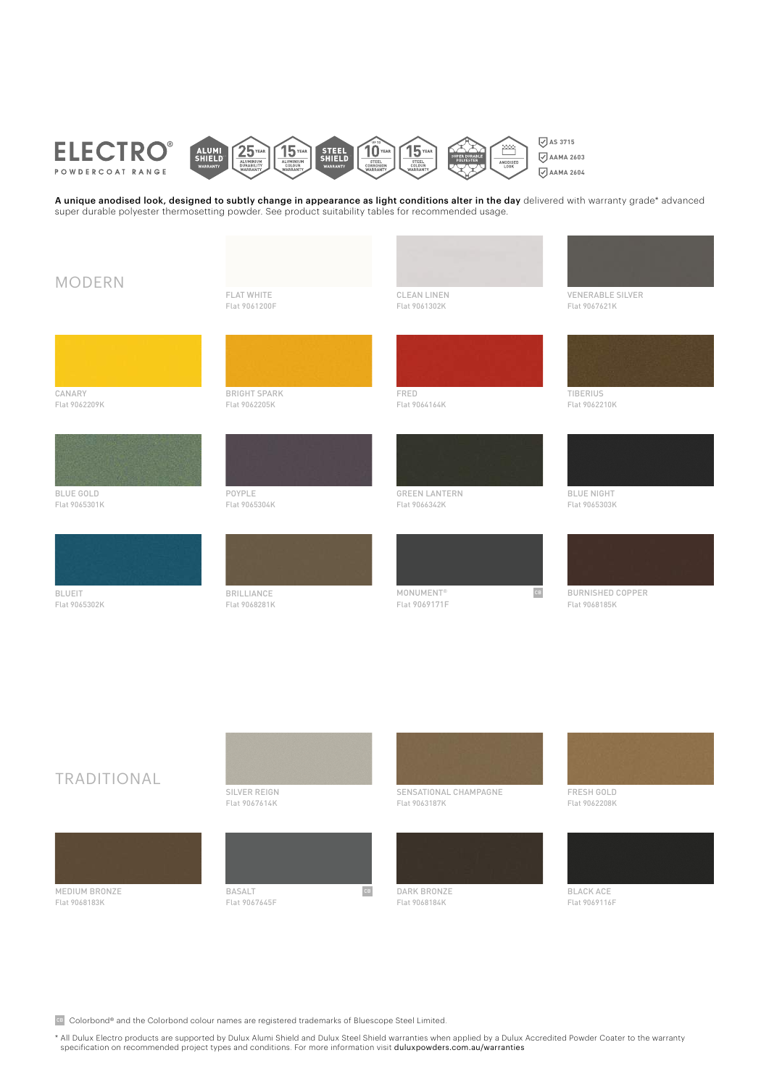

A unique anodised look, designed to subtly change in appearance as light conditions alter in the day delivered with warranty grade\* advanced super durable polyester thermosetting powder. See product suitability tables for recommended usage.



# TRADITIONAL



Flat 9068183K





Flat 9067645F





Flat 9068184K



BLACK ACE Flat 9069116F

cB Colorbond® and the Colorbond colour names are registered trademarks of Bluescope Steel Limited.

\* All Dulux Electro products are supported by Dulux Alumi Shield and Dulux Steel Shield warranties when applied by a Dulux Accredited Powder Coater to the warranty specification on recommended project types and conditions. For more information visit duluxpowders.com.au/warranties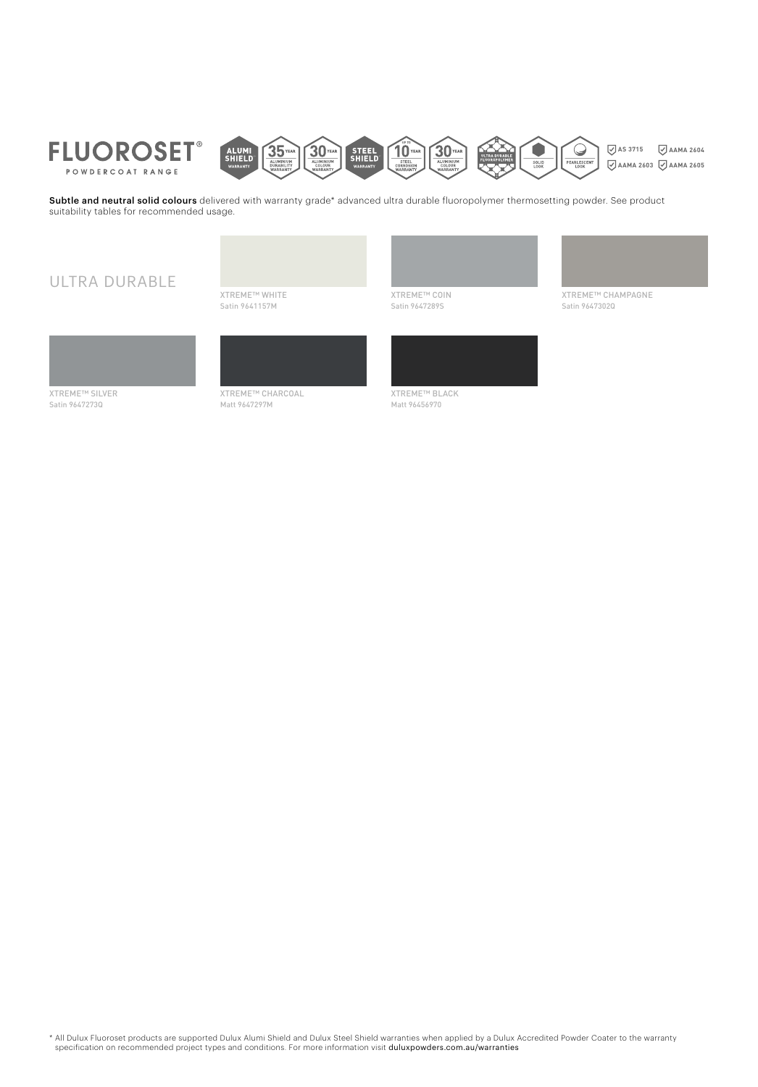



Subtle and neutral solid colours delivered with warranty grade\* advanced ultra durable fluoropolymer thermosetting powder. See product suitability tables for recommended usage.

## ULTRA DURABLE

XTREME™ WHITE Satin 9641157M







XTREME™ SILVER Satin 9647273Q



Matt 9647297M



Matt 96456970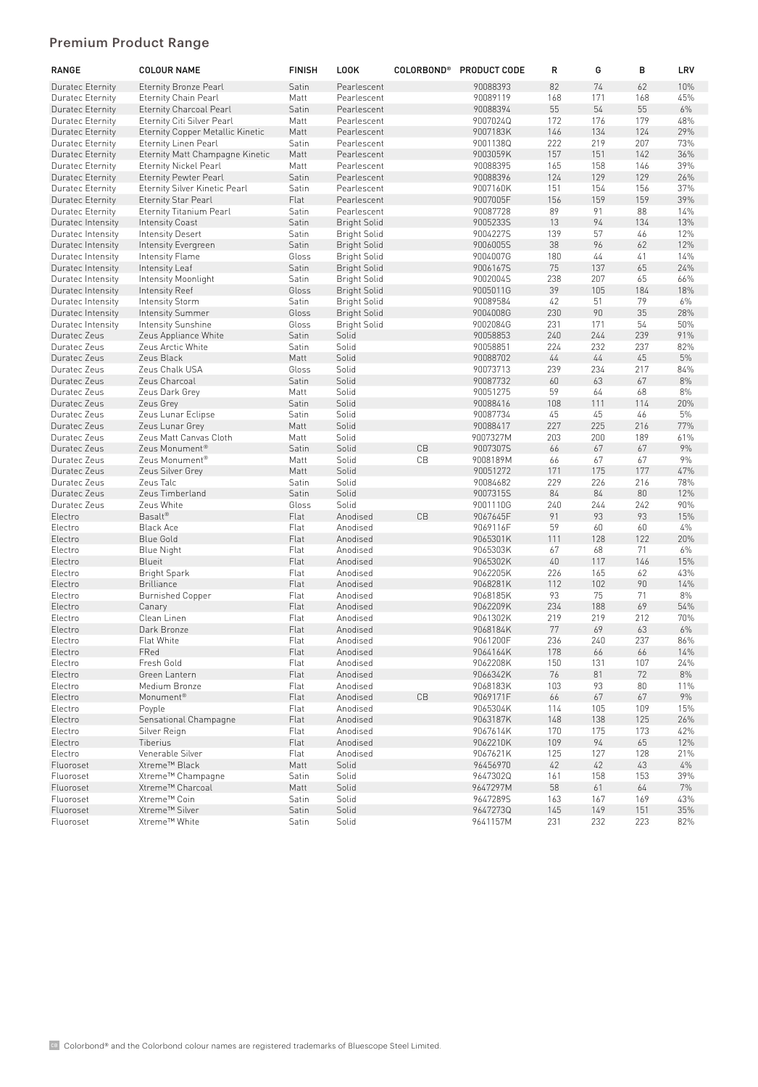### Premium Product Range

| <b>RANGE</b>       | <b>COLOUR NAME</b>                      | <b>FINISH</b> | <b>LOOK</b>          | <b>COLORBOND®</b>      | <b>PRODUCT CODE</b>  | R         | G         | в         | LRV       |
|--------------------|-----------------------------------------|---------------|----------------------|------------------------|----------------------|-----------|-----------|-----------|-----------|
| Duratec Eternity   | <b>Eternity Bronze Pearl</b>            | Satin         | Pearlescent          |                        | 90088393             | 82        | 74        | 62        | 10%       |
| Duratec Eternity   | <b>Eternity Chain Pearl</b>             | Matt          | Pearlescent          |                        | 90089119             | 168       | 171       | 168       | 45%       |
| Duratec Eternity   | <b>Eternity Charcoal Pearl</b>          | Satin         | Pearlescent          |                        | 90088394             | 55        | 54        | 55        | 6%        |
| Duratec Eternity   | Eternity Citi Silver Pearl              | Matt          | Pearlescent          |                        | 9007024Q             | 172       | 176       | 179       | 48%       |
| Duratec Eternity   | <b>Eternity Copper Metallic Kinetic</b> | Matt          | Pearlescent          |                        | 9007183K             | 146       | 134       | 124       | 29%       |
| Duratec Eternity   | <b>Eternity Linen Pearl</b>             | Satin         | Pearlescent          |                        | 9001138Q             | 222       | 219       | 207       | 73%       |
| Duratec Eternity   | Eternity Matt Champagne Kinetic         | Matt          | Pearlescent          |                        | 9003059K             | 157       | 151       | 142       | 36%       |
| Duratec Eternity   | <b>Eternity Nickel Pearl</b>            | Matt          | Pearlescent          |                        | 90088395             | 165       | 158       | 146       | 39%       |
| Duratec Eternity   | <b>Eternity Pewter Pearl</b>            | Satin         | Pearlescent          |                        | 90088396             | 124       | 129       | 129       | 26%       |
| Duratec Eternity   | Eternity Silver Kinetic Pearl           | Satin         | Pearlescent          |                        | 9007160K             | 151       | 154       | 156       | 37%       |
| Duratec Eternity   | <b>Eternity Star Pearl</b>              | Flat          | Pearlescent          |                        | 9007005F             | 156       | 159       | 159       | 39%       |
| Duratec Eternity   | <b>Eternity Titanium Pearl</b>          | Satin         | Pearlescent          |                        | 90087728             | 89        | 91        | 88        | 14%       |
| Duratec Intensity  | <b>Intensity Coast</b>                  | Satin         | <b>Bright Solid</b>  |                        | 9005233S             | 13        | 94        | 134       | 13%       |
| Duratec Intensity  | Intensity Desert                        | Satin         | <b>Bright Solid</b>  |                        | 9004227S             | 139       | 57        | 46        | 12%       |
| Duratec Intensity  | Intensity Evergreen                     | Satin         | <b>Bright Solid</b>  |                        | 9006005S             | 38        | 96        | 62        | 12%       |
| Duratec Intensity  | Intensity Flame                         | Gloss         | <b>Bright Solid</b>  |                        | 9004007G             | 180       | 44        | 41        | 14%       |
| Duratec Intensity  | Intensity Leaf                          | Satin         | <b>Bright Solid</b>  |                        | 9006167S             | 75        | 137       | 65        | 24%       |
| Duratec Intensity  | Intensity Moonlight                     | Satin         | <b>Bright Solid</b>  |                        | 9002004S             | 238       | 207       | 65        | 66%       |
| Duratec Intensity  | Intensity Reef                          | Gloss         | <b>Bright Solid</b>  |                        | 9005011G             | 39        | 105       | 184       | 18%       |
| Duratec Intensity  | <b>Intensity Storm</b>                  | Satin         | <b>Bright Solid</b>  |                        | 90089584             | 42        | 51        | 79        | 6%        |
| Duratec Intensity  | Intensity Summer                        | Gloss         | <b>Bright Solid</b>  |                        | 9004008G             | 230       | 90        | 35        | 28%       |
| Duratec Intensity  | <b>Intensity Sunshine</b>               | Gloss         | <b>Bright Solid</b>  |                        | 9002084G             | 231       | 171       | 54        | 50%       |
| Duratec Zeus       | Zeus Appliance White                    | Satin         | Solid                |                        | 90058853             | 240       | 244       | 239       | 91%       |
| Duratec Zeus       | Zeus Arctic White                       | Satin         | Solid                |                        | 90058851             | 224       | 232       | 237       | 82%       |
| Duratec Zeus       | Zeus Black                              | Matt          | Solid                |                        | 90088702             | 44        | 44        | 45        | 5%        |
| Duratec Zeus       | Zeus Chalk USA                          | Gloss         | Solid                |                        | 90073713             | 239       | 234       | 217       | 84%       |
| Duratec Zeus       | Zeus Charcoal                           | Satin         | Solid                |                        | 90087732             | 60        | 63        | 67        | 8%        |
| Duratec Zeus       | Zeus Dark Grey                          | Matt          | Solid                |                        | 90051275             | 59        | 64        | 68        | 8%        |
| Duratec Zeus       | Zeus Grey                               | Satin         | Solid                |                        | 90088416             | 108       | 111       | 114       | 20%       |
| Duratec Zeus       | Zeus Lunar Eclipse                      | Satin         | Solid                |                        | 90087734             | 45        | 45        | 46        | 5%        |
| Duratec Zeus       | Zeus Lunar Grey                         | Matt          | Solid                |                        | 90088417             | 227       | 225       | 216       | 77%       |
| Duratec Zeus       | Zeus Matt Canvas Cloth                  | Matt          | Solid                |                        | 9007327M             | 203       | 200       | 189       | 61%       |
| Duratec Zeus       | Zeus Monument <sup>®</sup>              | Satin         | Solid                | CB                     | 9007307S             | 66        | 67        | 67        | 9%        |
| Duratec Zeus       | Zeus Monument <sup>®</sup>              | Matt          | Solid                | CB                     | 9008189M             | 66        | 67        | 67        | 9%        |
| Duratec Zeus       | Zeus Silver Grey                        | Matt          | Solid                |                        | 90051272             | 171       | 175       | 177       | 47%       |
| Duratec Zeus       | Zeus Talc                               | Satin         | Solid                |                        | 90084682             | 229       | 226       | 216       | 78%       |
| Duratec Zeus       | Zeus Timberland                         | Satin         | Solid                |                        | 9007315S             | 84        | 84        | 80        | 12%       |
| Duratec Zeus       | Zeus White                              | Gloss         | Solid                |                        | 9001110G             | 240       | 244       | 242       | 90%       |
| Electro            | Basalt®                                 | Flat          | Anodised             | CB                     | 9067645F             | 91        | 93        | 93        | 15%       |
| Electro            | <b>Black Ace</b>                        | Flat<br>Flat  | Anodised<br>Anodised |                        | 9069116F<br>9065301K | 59<br>111 | 60<br>128 | 60<br>122 | 4%<br>20% |
| Electro<br>Electro | <b>Blue Gold</b>                        |               | Anodised             |                        |                      | 67        | 68        | 71        | 6%        |
| Electro            | <b>Blue Night</b><br><b>Blueit</b>      | Flat<br>Flat  | Anodised             |                        | 9065303K<br>9065302K | 40        | 117       | 146       | 15%       |
| Electro            | <b>Bright Spark</b>                     | Flat          | Anodised             |                        | 9062205K             | 226       | 165       | 62        | 43%       |
| Electro            | <b>Brilliance</b>                       | Flat          | Anodised             |                        | 9068281K             | 112       | 102       | 90        | 14%       |
| Electro            | <b>Burnished Copper</b>                 | Flat          | Anodised             |                        | 9068185K             | 93        | 75        | 71        | 8%        |
| Electro            | Canary                                  | Flat          | Anodised             |                        | 9062209K             | 234       | 188       | 69        | 54%       |
| Electro            | Clean Linen                             | Flat          | Anodised             |                        | 9061302K             | 219       | 219       | 212       | 70%       |
| Electro            | Dark Bronze                             | Flat          | Anodised             |                        | 9068184K             | 77        | 69        | 63        | 6%        |
| Electro            | Flat White                              | Flat          | Anodised             |                        | 9061200F             | 236       | 240       | 237       | 86%       |
| Electro            | FRed                                    | Flat          | Anodised             |                        | 9064164K             | 178       | 66        | 66        | 14%       |
| Electro            | Fresh Gold                              | Flat          | Anodised             |                        | 9062208K             | 150       | 131       | 107       | 24%       |
| Electro            | Green Lantern                           | Flat          | Anodised             |                        | 9066342K             | 76        | 81        | 72        | 8%        |
| Electro            | Medium Bronze                           | Flat          | Anodised             |                        | 9068183K             | 103       | 93        | 80        | 11%       |
| Electro            | Monument <sup>®</sup>                   | Flat          | Anodised             | $\mathbb{C}\mathbb{B}$ | 9069171F             | 66        | 67        | 67        | 9%        |
| Electro            | Poyple                                  | Flat          | Anodised             |                        | 9065304K             | 114       | 105       | 109       | 15%       |
| Electro            | Sensational Champagne                   | Flat          | Anodised             |                        | 9063187K             | 148       | 138       | 125       | 26%       |
| Electro            | Silver Reign                            | Flat          | Anodised             |                        | 9067614K             | 170       | 175       | 173       | 42%       |
| Electro            | Tiberius                                | Flat          | Anodised             |                        | 9062210K             | 109       | 94        | 65        | 12%       |
| Electro            | Venerable Silver                        | Flat          | Anodised             |                        | 9067621K             | 125       | 127       | 128       | 21%       |
| Fluoroset          | Xtreme™ Black                           | Matt          | Solid                |                        | 96456970             | 42        | 42        | 43        | 4%        |
| Fluoroset          | Xtreme™ Champagne                       | Satin         | Solid                |                        | 9647302Q             | 161       | 158       | 153       | 39%       |
| Fluoroset          | Xtreme™ Charcoal                        | Matt          | Solid                |                        | 9647297M             | 58        | 61        | 64        | 7%        |
| Fluoroset          | Xtreme™ Coin                            | Satin         | Solid                |                        | 9647289S             | 163       | 167       | 169       | 43%       |
| Fluoroset          | Xtreme™ Silver                          | Satin         | Solid                |                        | 9647273Q             | 145       | 149       | 151       | 35%       |
| Fluoroset          | Xtreme™ White                           | Satin         | Solid                |                        | 9641157M             | 231       | 232       | 223       | 82%       |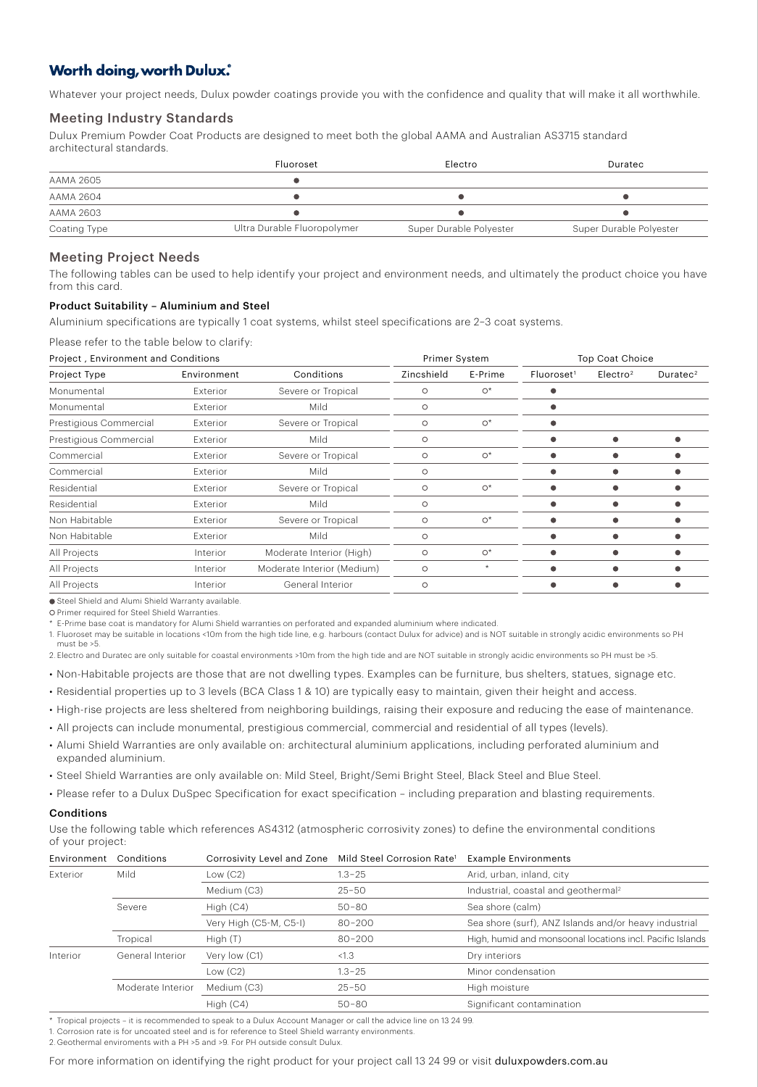## **Worth doing, worth Dulux.**

Whatever your project needs, Dulux powder coatings provide you with the confidence and quality that will make it all worthwhile.

#### Meeting Industry Standards

Dulux Premium Powder Coat Products are designed to meet both the global AAMA and Australian AS3715 standard architectural standards.

|              | Fluoroset                   | Electro                 | Duratec                 |
|--------------|-----------------------------|-------------------------|-------------------------|
| AAMA 2605    |                             |                         |                         |
| AAMA 2604    |                             |                         |                         |
| AAMA 2603    |                             |                         |                         |
| Coating Type | Ultra Durable Fluoropolymer | Super Durable Polyester | Super Durable Polyester |

#### Meeting Project Needs

The following tables can be used to help identify your project and environment needs, and ultimately the product choice you have from this card.

#### Product Suitability – Aluminium and Steel

Aluminium specifications are typically 1 coat systems, whilst steel specifications are 2–3 coat systems.

Please refer to the table below to clarify:

| Project, Environment and Conditions |             |                            | Primer System |         | <b>Top Coat Choice</b> |                      |             |
|-------------------------------------|-------------|----------------------------|---------------|---------|------------------------|----------------------|-------------|
| Project Type                        | Environment | Conditions                 | Zincshield    | E-Prime | Fluorose <sup>1</sup>  | Electro <sup>2</sup> | Durate $c2$ |
| Monumental                          | Exterior    | Severe or Tropical         | $\circ$       | $O^*$   |                        |                      |             |
| Monumental                          | Exterior    | Mild                       | $\circ$       |         |                        |                      |             |
| Prestigious Commercial              | Exterior    | Severe or Tropical         | $\circ$       | $O^*$   |                        |                      |             |
| Prestigious Commercial              | Exterior    | Mild                       | $\circ$       |         |                        |                      |             |
| Commercial                          | Exterior    | Severe or Tropical         | $\circ$       | $O^*$   |                        |                      |             |
| Commercial                          | Exterior    | Mild                       | $\circ$       |         |                        |                      |             |
| Residential                         | Exterior    | Severe or Tropical         | $\circ$       | $O^*$   |                        |                      |             |
| Residential                         | Exterior    | Mild                       | $\circ$       |         |                        |                      |             |
| Non Habitable                       | Exterior    | Severe or Tropical         | O             | $O^*$   |                        |                      |             |
| Non Habitable                       | Exterior    | Mild                       | $\circ$       |         |                        |                      |             |
| All Projects                        | Interior    | Moderate Interior (High)   | $\circ$       | $O^*$   |                        |                      |             |
| All Projects                        | Interior    | Moderate Interior (Medium) | $\circ$       | $\star$ |                        |                      |             |
| All Projects                        | Interior    | General Interior           | $\circ$       |         |                        |                      |             |

● Steel Shield and Alumi Shield Warranty available

O Primer required for Steel Shield Warranties.

\* E-Prime base coat is mandatory for Alumi Shield warranties on perforated and expanded aluminium where indicated.

1. Fluoroset may be suitable in locations <10m from the high tide line, e.g. harbours (contact Dulux for advice) and is NOT suitable in strongly acidic environments so PH must be >5.

2. Electro and Duratec are only suitable for coastal environments >10m from the high tide and are NOT suitable in strongly acidic environments so PH must be >5.

• Non-Habitable projects are those that are not dwelling types. Examples can be furniture, bus shelters, statues, signage etc.

• Residential properties up to 3 levels (BCA Class 1 & 10) are typically easy to maintain, given their height and access.

• High-rise projects are less sheltered from neighboring buildings, raising their exposure and reducing the ease of maintenance.

• All projects can include monumental, prestigious commercial, commercial and residential of all types (levels).

• Alumi Shield Warranties are only available on: architectural aluminium applications, including perforated aluminium and expanded aluminium.

• Steel Shield Warranties are only available on: Mild Steel, Bright/Semi Bright Steel, Black Steel and Blue Steel.

• Please refer to a Dulux DuSpec Specification for exact specification – including preparation and blasting requirements.

#### Conditions

Use the following table which references AS4312 (atmospheric corrosivity zones) to define the environmental conditions of your project:

| Environment | Conditions        | Corrosivity Level and Zone | Mild Steel Corrosion Rate <sup>1</sup> | <b>Example Environments</b>                               |
|-------------|-------------------|----------------------------|----------------------------------------|-----------------------------------------------------------|
| Exterior    | Mild              | Low $(C2)$                 | $1.3 - 25$                             | Arid, urban, inland, city                                 |
|             |                   | Medium (C3)                | $25 - 50$                              | Industrial, coastal and geothermal <sup>2</sup>           |
|             | Severe            | High $(C4)$                | $50 - 80$                              | Sea shore (calm)                                          |
|             |                   | Very High (C5-M, C5-I)     | $80 - 200$                             | Sea shore (surf), ANZ Islands and/or heavy industrial     |
|             | Tropical          | High $(T)$                 | $80 - 200$                             | High, humid and monsoonal locations incl. Pacific Islands |
| Interior    | General Interior  | Very low (C1)              | < 1.3                                  | Dry interiors                                             |
|             |                   | Low $(C2)$                 | $1.3 - 25$                             | Minor condensation                                        |
|             | Moderate Interior | Medium (C3)                | $25 - 50$                              | High moisture                                             |
|             |                   | High $(C4)$                | $50 - 80$                              | Significant contamination                                 |

\* Tropical projects – it is recommended to speak to a Dulux Account Manager or call the advice line on 13 24 99.

1. Corrosion rate is for uncoated steel and is for reference to Steel Shield warranty environments.

2. Geothermal enviroments with a PH >5 and >9. For PH outside consult Dulux.